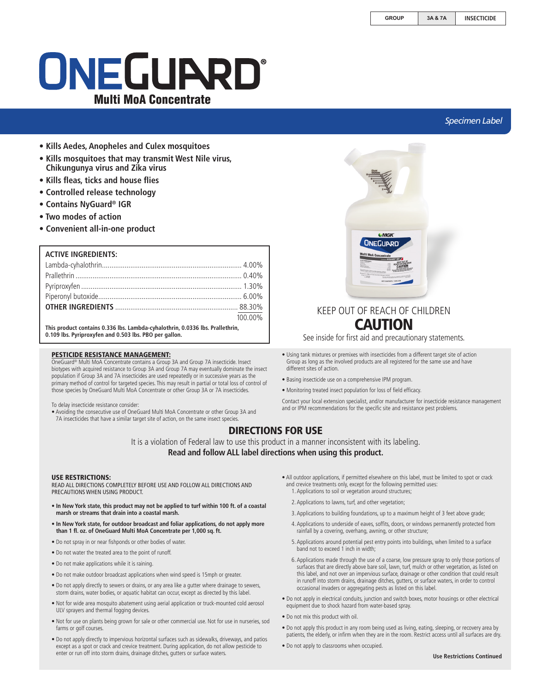# ONEGUARD® Multi MoA Concentrate

## *Specimen Label*

- **Kills Aedes, Anopheles and Culex mosquitoes**
- **Kills mosquitoes that may transmit West Nile virus, Chikungunya virus and Zika virus**
- **Kills fleas, ticks and house flies**
- **Controlled release technology**
- **Contains NyGuard® IGR**
- **Two modes of action**
- **Convenient all-in-one product**

#### **ACTIVE INGREDIENTS:**

| 100.00% |
|---------|

**This product contains 0.336 lbs. Lambda-cyhalothrin, 0.0336 lbs. Prallethrin, 0.109 lbs. Pyriproxyfen and 0.503 lbs. PBO per gallon.**

#### PESTICIDE RESISTANCE MANAGEMENT:

OneGuard® Multi MoA Concentrate contains a Group 3A and Group 7A insecticide. Insect biotypes with acquired resistance to Group 3A and Group 7A may eventually dominate the insect population if Group 3A and 7A insecticides are used repeatedly or in successive years as the primary method of control for targeted species. This may result in partial or total loss of control of those species by OneGuard Multi MoA Concentrate or other Group 3A or 7A insecticides.

To delay insecticide resistance consider:

• Avoiding the consecutive use of OneGuard Multi MoA Concentrate or other Group 3A and 7A insecticides that have a similar target site of action, on the same insect species.



## KEEP OUT OF REACH OF CHILDREN CAUTION

See inside for first aid and precautionary statements.

- Using tank mixtures or premixes with insecticides from a different target site of action Group as long as the involved products are all registered for the same use and have different sites of action.
- Basing insecticide use on a comprehensive IPM program.
- Monitoring treated insect population for loss of field efficacy.

Contact your local extension specialist, and/or manufacturer for insecticide resistance management and or IPM recommendations for the specific site and resistance pest problems.

## DIRECTIONS FOR USE

It is a violation of Federal law to use this product in a manner inconsistent with its labeling. **Read and follow ALL label directions when using this product.**

#### USE RESTRICTIONS:

READ ALL DIRECTIONS COMPLETELY BEFORE USE AND FOLLOW ALL DIRECTIONS AND PRECAUTIONS WHEN USING PRODUCT.

- **In New York state, this product may not be applied to turf within 100 ft. of a coastal marsh or streams that drain into a coastal marsh.**
- **In New York state, for outdoor broadcast and foliar applications, do not apply more than 1 fl. oz. of OneGuard Multi MoA Concentrate per 1,000 sq. ft.**
- Do not spray in or near fishponds or other bodies of water.
- Do not water the treated area to the point of runoff.
- Do not make applications while it is raining.
- Do not make outdoor broadcast applications when wind speed is 15mph or greater.
- Do not apply directly to sewers or drains, or any area like a gutter where drainage to sewers, storm drains, water bodies, or aquatic habitat can occur, except as directed by this label.
- Not for wide area mosquito abatement using aerial application or truck-mounted cold aerosol ULV sprayers and thermal fogging devices.
- Not for use on plants being grown for sale or other commercial use. Not for use in nurseries, sod farms or golf courses.
- Do not apply directly to impervious horizontal surfaces such as sidewalks, driveways, and patios except as a spot or crack and crevice treatment. During application, do not allow pesticide to enter or run off into storm drains, drainage ditches, gutters or surface waters.
- All outdoor applications, if permitted elsewhere on this label, must be limited to spot or crack and crevice treatments only, except for the following permitted uses: 1. Applications to soil or vegetation around structures;
	-
	- 2. Applications to lawns, turf, and other vegetation;
	- 3. Applications to building foundations, up to a maximum height of 3 feet above grade;
	- 4. Applications to underside of eaves, soffits, doors, or windows permanently protected from rainfall by a covering, overhang, awning, or other structure;
	- 5. Applications around potential pest entry points into buildings, when limited to a surface band not to exceed 1 inch in width;
	- 6. Applications made through the use of a coarse, low pressure spray to only those portions of surfaces that are directly above bare soil, lawn, turf, mulch or other vegetation, as listed on this label, and not over an impervious surface, drainage or other condition that could result in runoff into storm drains, drainage ditches, gutters, or surface waters, in order to control occasional invaders or aggregating pests as listed on this label.
- Do not apply in electrical conduits, junction and switch boxes, motor housings or other electrical equipment due to shock hazard from water-based spray.
- Do not mix this product with oil.
- Do not apply this product in any room being used as living, eating, sleeping, or recovery area by patients, the elderly, or infirm when they are in the room. Restrict access until all surfaces are dry.
- Do not apply to classrooms when occupied.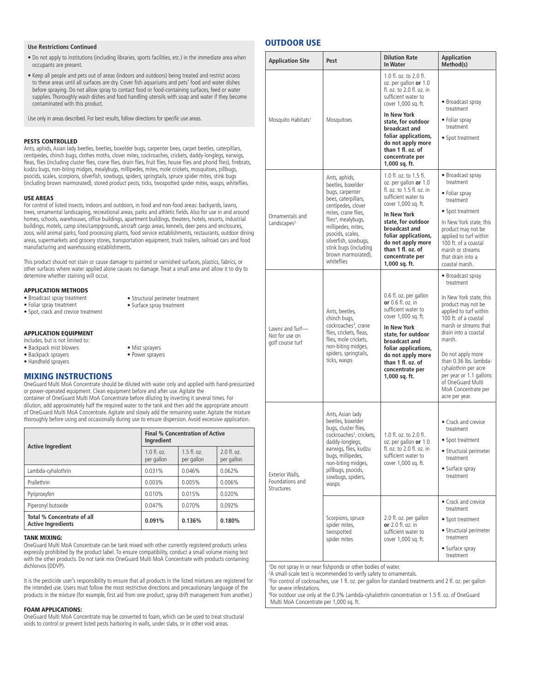#### **Use Restrictions Continued**

- Do not apply to institutions (including libraries, sports facilities, etc.) in the immediate area when occupants are present.
- Keep all people and pets out of areas (indoors and outdoors) being treated and restrict access to these areas until all surfaces are dry. Cover fish aquariums and pets' food and water dishes before spraying. Do not allow spray to contact food or food-containing surfaces, feed or water supplies. Thoroughly wash dishes and food handling utensils with soap and water if they become contaminated with this product.

Use only in areas described. For best results, follow directions for specific use areas.

#### PESTS CONTROLLED

Ants, aphids, Asian lady beetles, beetles, boxelder bugs, carpenter bees, carpet beetles, caterpillars, centipedes, chinch bugs, clothes moths, clover mites, cockroaches, crickets, daddy-longlegs, earwigs, fleas, flies (including cluster flies, crane flies, drain flies, fruit flies, house flies and phorid flies), firebrats, kudzu bugs, non-biting midges, mealybugs, millipedes, mites, mole crickets, mosquitoes, pillbugs, psocids, scales, scorpions, silverfish, sowbugs, spiders, springtails, spruce spider mites, stink bugs (including brown marmorated), stored product pests, ticks, twospotted spider mites, wasps, whiteflies.

#### USE AREAS

For control of listed insects, indoors and outdoors, in food and non-food areas: backyards, lawns, trees, ornamental landscaping, recreational areas, parks and athletic fields. Also for use in and around homes, schools, warehouses, office buildings, apartment buildings, theaters, hotels, resorts, industrial buildings, motels, camp sites/campgrounds, aircraft cargo areas, kennels, deer pens and enclosures, zoos, wild animal parks, food processing plants, food service establishments, restaurants, outdoor dining areas, supermarkets and grocery stores, transportation equipment, truck trailers, railroad cars and food manufacturing and warehousing establishments.

This product should not stain or cause damage to painted or varnished surfaces, plastics, fabrics, or other surfaces where water applied alone causes no damage. Treat a small area and allow it to dry to determine whether staining will occur.

> • Structural perimeter treatment • Surface spray treatment

#### APPLICATION METHODS

- Broadcast spray treatment
- Foliar spray treatment • Spot, crack and crevice treatment
- 

#### APPLICATION EQUIPMENT

- Includes, but is not limited to: • Backpack mist blowers
- Backpack sprayers
- Handheld sprayers

#### MIXING INSTRUCTIONS

OneGuard Multi MoA Concentrate should be diluted with water only and applied with hand-pressurized or power-operated equipment. Clean equipment before and after use. Agitate the container of OneGuard Multi MoA Concentrate before diluting by inverting it several times. For dilution, add approximately half the required water to the tank and then add the appropriate amount of OneGuard Multi MoA Concentrate. Agitate and slowly add the remaining water. Agitate the mixture thoroughly before using and occasionally during use to ensure dispersion. Avoid excessive application.

• Mist sprayers • Power sprayers

| <b>Active Ingredient</b>                                | <b>Final % Concentration of Active</b><br>Ingredient |                          |                           |
|---------------------------------------------------------|------------------------------------------------------|--------------------------|---------------------------|
|                                                         | $1.0 \text{ fl.}$ $0z$ .<br>per gallon               | $15f$ $07$<br>per gallon | $20ff$ $27$<br>per gallon |
| Lambda-cyhalothrin                                      | 0.031%                                               | 0.046%                   | 0.062%                    |
| Prallethrin                                             | 0.003%                                               | 0.005%                   | 0.006%                    |
| Pyriproxyfen                                            | 0.010%                                               | 0.015%                   | 0.020%                    |
| Piperonyl butoxide                                      | 0.047%                                               | 0.070%                   | 0.092%                    |
| Total % Concentrate of all<br><b>Active Ingredients</b> | 0.091%                                               | 0.136%                   | 0.180%                    |

#### TANK MIXING:

OneGuard Multi MoA Concentrate can be tank mixed with other currently registered products unless expressly prohibited by the product label. To ensure compatibility, conduct a small volume mixing test with the other products. Do not tank mix OneGuard Multi MoA Concentrate with products containing dichlorvos (DDVP).

It is the pesticide user's responsibility to ensure that all products in the listed mixtures are registered for the intended use. Users must follow the most restrictive directions and precautionary language of the products in the mixture (for example, first aid from one product, spray drift management from another.)

#### FOAM APPLICATIONS:

OneGuard Multi MoA Concentrate may be converted to foam, which can be used to treat structural voids to control or prevent listed pests harboring in walls, under slabs, or in other void areas.

## OUTDOOR USE

| <b>Application Site</b>                               | Pest                                                                                                                                                                                                                                                                                        | <b>Dilution Rate</b><br><b>In Water</b>                                                                                                                                                                                                                                                              | <b>Application</b><br>Method(s)                                                                                                                                                                                                                                                                                                                              |
|-------------------------------------------------------|---------------------------------------------------------------------------------------------------------------------------------------------------------------------------------------------------------------------------------------------------------------------------------------------|------------------------------------------------------------------------------------------------------------------------------------------------------------------------------------------------------------------------------------------------------------------------------------------------------|--------------------------------------------------------------------------------------------------------------------------------------------------------------------------------------------------------------------------------------------------------------------------------------------------------------------------------------------------------------|
| Mosquito Habitats <sup>1</sup>                        | Mosquitoes                                                                                                                                                                                                                                                                                  | 1.0 fl. oz. to 2.0 fl.<br>oz. per gallon or 1.0<br>fl. oz. to 2.0 fl. oz. in<br>sufficient water to<br>cover 1,000 sq. ft.<br>In New York<br>state, for outdoor<br>broadcast and<br>foliar applications,<br>do not apply more<br>than 1 fl. oz. of<br>concentrate per<br>1,000 sq. ft.               | • Broadcast spray<br>treatment<br>• Foliar spray<br>treatment<br>• Spot treatment                                                                                                                                                                                                                                                                            |
| Ornamentals and<br>Landscapes <sup>2</sup>            | Ants, aphids,<br>beetles, boxelder<br>bugs, carpenter<br>bees, caterpillars,<br>centipedes, clover<br>mites, crane flies,<br>flies <sup>4</sup> , mealybugs,<br>millipedes, mites,<br>psocids, scales,<br>silverfish, sowbugs,<br>stink bugs (including<br>brown marmorated),<br>whiteflies | 1.0 fl. oz. to 1.5 fl.<br>oz. per gallon <b>or</b> 1.0<br>fl. oz. to 1.5 fl. oz. in<br>sufficient water to<br>cover 1,000 sq. ft.<br><b>In New York</b><br>state, for outdoor<br>broadcast and<br>foliar applications,<br>do not apply more<br>than 1 fl. oz. of<br>concentrate per<br>1,000 sq. ft. | • Broadcast spray<br>treatment<br>• Foliar spray<br>treatment<br>• Spot treatment<br>In New York state, this<br>product may not be<br>applied to turf within<br>100 ft. of a coastal<br>marsh or streams<br>that drain into a<br>coastal marsh.                                                                                                              |
| Lawns and Turf-<br>Not for use on<br>golf course turf | Ants, beetles,<br>chinch bugs,<br>cockroaches <sup>3</sup> , crane<br>flies, crickets, fleas,<br>flies, mole crickets,<br>non-biting midges,<br>spiders, springtails,<br>ticks, wasps                                                                                                       | 0.6 fl. oz. per gallon<br>or $0.6$ fl. oz. in<br>sufficient water to<br>cover 1,000 sq. ft.<br><b>In New York</b><br>state, for outdoor<br>broadcast and<br>foliar applications,<br>do not apply more<br>than 1 fl. oz. of<br>concentrate per<br>1,000 sq. ft.                                       | • Broadcast spray<br>treatment<br>In New York state, this<br>product may not be<br>applied to turf within<br>100 ft. of a coastal<br>marsh or streams that<br>drain into a coastal<br>marsh.<br>Do not apply more<br>than 0.36 lbs. lambda-<br>cyhalothrin per acre<br>per year or 1.1 gallons<br>of OneGuard Multi<br>MoA Concentrate per<br>acre per year. |
| Exterior Walls,<br>Foundations and<br>Structures      | Ants, Asian lady<br>beetles, boxelder<br>bugs, cluster flies,<br>cockroaches <sup>3</sup> , crickets,<br>daddy-longlegs,<br>earwigs, flies, kudzu<br>bugs, millipedes,<br>non-biting midges,<br>pillbugs, psocids,<br>sowbugs, spiders,<br>wasps                                            | 1.0 fl. oz. to 2.0 fl.<br>oz. per gallon or 1.0<br>fl. oz. to 2.0 fl. oz. in<br>sufficient water to<br>cover 1,000 sq. ft.                                                                                                                                                                           | • Crack and crevice<br>treatment<br>• Spot treatment<br>• Structural perimeter<br>treatment<br>• Surface spray<br>treatment                                                                                                                                                                                                                                  |
|                                                       | Scorpions, spruce<br>spider mites,<br>twospotted<br>spider mites                                                                                                                                                                                                                            | 2.0 fl. oz. per gallon<br>or 2.0 fl. oz. in<br>sufficient water to<br>cover 1,000 sq. ft.                                                                                                                                                                                                            | • Crack and crevice<br>treatment<br>• Spot treatment<br>• Structural perimeter<br>treatment<br>• Surface spray<br>treatment                                                                                                                                                                                                                                  |

1 Do not spray in or near fishponds or other bodies of water.

2 A small-scale test is recommended to verify safety to ornamentals.

3 For control of cockroaches, use 1 fl. oz. per gallon for standard treatments and 2 fl. oz. per gallon for severe infestations.

4 For outdoor use only at the 0.3% Lambda-cyhalothrin concentration or 1.5 fl. oz. of OneGuard Multi MoA Concentrate per 1,000 sq. ft.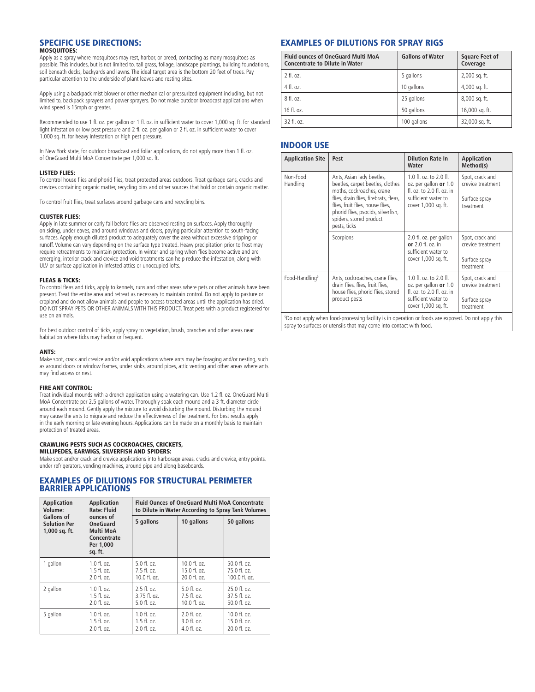#### SPECIFIC USE DIRECTIONS: MOSQUITOES:

Apply as a spray where mosquitoes may rest, harbor, or breed, contacting as many mosquitoes as possible. This includes, but is not limited to, tall grass, foliage, landscape plantings, building foundations, soil beneath decks, backyards and lawns. The ideal target area is the bottom 20 feet of trees. Pay particular attention to the underside of plant leaves and resting sites.

Apply using a backpack mist blower or other mechanical or pressurized equipment including, but not limited to, backpack sprayers and power sprayers. Do not make outdoor broadcast applications when wind speed is 15mph or greater.

Recommended to use 1 fl. oz. per gallon or 1 fl. oz. in sufficient water to cover 1,000 sq. ft. for standard light infestation or low pest pressure and 2 fl. oz. per gallon or 2 fl. oz. in sufficient water to cover 1,000 sq. ft. for heavy infestation or high pest pressure.

In New York state, for outdoor broadcast and foliar applications, do not apply more than 1 fl. oz. of OneGuard Multi MoA Concentrate per 1,000 sq. ft.

#### LISTED FLIES:

To control house flies and phorid flies, treat protected areas outdoors. Treat garbage cans, cracks and crevices containing organic matter, recycling bins and other sources that hold or contain organic matter.

To control fruit flies, treat surfaces around garbage cans and recycling bins.

#### CLUSTER FLIES:

Apply in late summer or early fall before flies are observed resting on surfaces. Apply thoroughly on siding, under eaves, and around windows and doors, paying particular attention to south-facing surfaces. Apply enough diluted product to adequately cover the area without excessive dripping or runoff. Volume can vary depending on the surface type treated. Heavy precipitation prior to frost may require retreatments to maintain protection. In winter and spring when flies become active and are emerging, interior crack and crevice and void treatments can help reduce the infestation, along with ULV or surface application in infested attics or unoccupied lofts.

#### FLEAS & TICKS:

To control fleas and ticks, apply to kennels, runs and other areas where pets or other animals have been present. Treat the entire area and retreat as necessary to maintain control. Do not apply to pasture or cropland and do not allow animals and people to access treated areas until the application has dried. DO NOT SPRAY PETS OR OTHER ANIMALS WITH THIS PRODUCT. Treat pets with a product registered for use on animals.

For best outdoor control of ticks, apply spray to vegetation, brush, branches and other areas near habitation where ticks may harbor or frequent.

#### ANTS:

Make spot, crack and crevice and/or void applications where ants may be foraging and/or nesting, such as around doors or window frames, under sinks, around pipes, attic venting and other areas where ants may find access or nest.

#### FIRE ANT CONTROL:

Treat individual mounds with a drench application using a watering can. Use 1.2 fl. oz. OneGuard Multi MoA Concentrate per 2.5 gallons of water. Thoroughly soak each mound and a 3 ft. diameter circle around each mound. Gently apply the mixture to avoid disturbing the mound. Disturbing the mound may cause the ants to migrate and reduce the effectiveness of the treatment. For best results apply in the early morning or late evening hours. Applications can be made on a monthly basis to maintain protection of treated areas.

#### CRAWLING PESTS SUCH AS COCKROACHES, CRICKETS,

MILLIPEDES, EARWIGS, SILVERFISH AND SPIDERS: Make spot and/or crack and crevice applications into harborage areas, cracks and crevice, entry points,

under refrigerators, vending machines, around pipe and along baseboards.

#### EXAMPLES OF DILUTIONS FOR STRUCTURAL PERIMETER BARRIER APPLICATIONS

| <b>Application</b>                                        | <b>Application</b>                                                               | <b>Fluid Ounces of OneGuard Multi MoA Concentrate</b> |                          |                   |
|-----------------------------------------------------------|----------------------------------------------------------------------------------|-------------------------------------------------------|--------------------------|-------------------|
| Volume:                                                   | <b>Rate: Fluid</b>                                                               | to Dilute in Water According to Spray Tank Volumes    |                          |                   |
| <b>Gallons of</b><br><b>Solution Per</b><br>1,000 sq. ft. | ounces of<br><b>OneGuard</b><br>Multi MoA<br>Concentrate<br>Per 1.000<br>sq. ft. | 5 gallons                                             | 10 gallons               | 50 gallons        |
| 1 gallon                                                  | 1.0 fl. oz.                                                                      | $5.0$ fl. oz.                                         | $10.0$ fl. $oz$ .        | $50.0$ fl. oz.    |
|                                                           | $1.5$ fl. oz.                                                                    | $7.5 \text{ fl.}$ $07.$                               | $15.0 \text{ fl.}$ $oz.$ | 75.0 f1. oz.      |
|                                                           | 2.0 fl. oz.                                                                      | 10.0 fl. oz.                                          | 20.0 fl. oz.             | 100.0 fl. oz.     |
| 2 gallon                                                  | $1.0 \text{ fl.}$ $07.$                                                          | $2.5$ fl. oz.                                         | 5.0 f1. oz.              | $25.0$ fl. oz.    |
|                                                           | $1.5 \text{ fl.}$ $oz.$                                                          | $3.75$ fl. oz.                                        | $7.5 \text{ fl.}$ $07.$  | $37.5$ fl. oz.    |
|                                                           | 2.0 fl. oz.                                                                      | 5.0 fl. oz.                                           | 10.0 fl. oz.             | 50.0 fl. oz.      |
| 5 gallon                                                  | $1.0 \text{ fl.}$ $oz.$                                                          | $1.0 \text{ fl. oz.}$                                 | $2.0$ fl. oz.            | $10.0$ fl. $oz$ . |
|                                                           | $1.5$ fl. oz.                                                                    | $1.5$ fl. oz.                                         | 3.0 fl. oz.              | 15.0 fl. oz.      |
|                                                           | 2.0 fl. oz.                                                                      | 2.0 fl. oz.                                           | 4.0 fl. oz.              | 20.0 fl. oz.      |

## EXAMPLES OF DILUTIONS FOR SPRAY RIGS

| <b>Fluid ounces of OneGuard Multi MoA</b><br><b>Concentrate to Dilute in Water</b> | <b>Gallons of Water</b> | <b>Square Feet of</b><br>Coverage |
|------------------------------------------------------------------------------------|-------------------------|-----------------------------------|
| 2 fl. oz.                                                                          | 5 gallons               | 2,000 sq. ft.                     |
| 4 fl. oz.                                                                          | 10 gallons              | 4,000 sq. ft.                     |
| 8 fl. oz.                                                                          | 25 gallons              | 8,000 sq. ft.                     |
| $16$ fl. oz.                                                                       | 50 gallons              | 16,000 sq. ft.                    |
| 32 fl. oz.                                                                         | 100 gallons             | 32,000 sq. ft.                    |

#### INDOOR USE

| <b>Application Site</b>    | Pest                                                                                                                                                                                                                                                     | <b>Dilution Rate In</b><br>Water                                                                                               | <b>Application</b><br>Method(s)                                    |
|----------------------------|----------------------------------------------------------------------------------------------------------------------------------------------------------------------------------------------------------------------------------------------------------|--------------------------------------------------------------------------------------------------------------------------------|--------------------------------------------------------------------|
| Non-Food<br>Handling       | Ants, Asian lady beetles,<br>beetles, carpet beetles, clothes<br>moths, cockroaches, crane<br>flies, drain flies, firebrats, fleas,<br>flies, fruit flies, house flies,<br>phorid flies, psocids, silverfish,<br>spiders, stored product<br>pests, ticks | 1.0 fl. oz. to 2.0 fl.<br>oz. per gallon or 1.0<br>fl. oz. to 2.0 fl. oz. in<br>sufficient water to<br>cover 1,000 sq. ft.     | Spot, crack and<br>crevice treatment<br>Surface spray<br>treatment |
|                            | Scorpions                                                                                                                                                                                                                                                | 2.0 fl. oz. per gallon<br>or $2.0$ fl. oz. in<br>sufficient water to<br>cover 1,000 sq. ft.                                    | Spot, crack and<br>crevice treatment<br>Surface spray<br>treatment |
| Food-Handling <sup>5</sup> | Ants, cockroaches, crane flies,<br>drain flies, flies, fruit flies,<br>house flies, phorid flies, stored<br>product pests                                                                                                                                | $1.0$ fl. oz. to $2.0$ fl.<br>oz. per gallon or 1.0<br>fl. oz. to 2.0 fl. oz. in<br>sufficient water to<br>cover 1,000 sq. ft. | Spot, crack and<br>crevice treatment<br>Surface spray<br>treatment |

5 Do not apply when food-processing facility is in operation or foods are exposed. Do not apply this spray to surfaces or utensils that may come into contact with food.